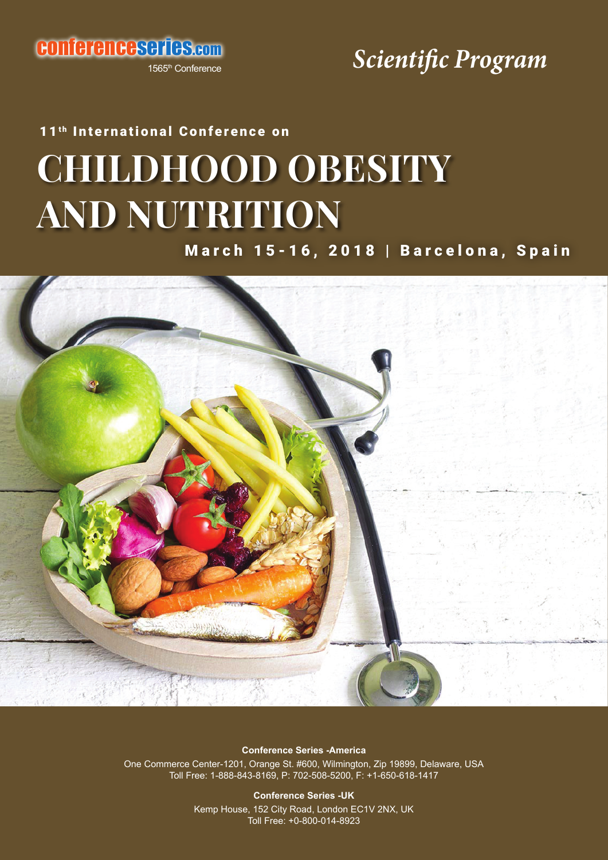conferenceseries.com

1565<sup>th</sup> Conference

## *Scientific Program*

# **CHILDHOOD OBESITY AND NUTRITION** 11<sup>th</sup> International Conference on

March 15-16, 2018 | Barcelona, Spain



**Conference Series -America**

One Commerce Center-1201, Orange St. #600, Wilmington, Zip 19899, Delaware, USA Toll Free: 1-888-843-8169, P: 702-508-5200, F: +1-650-618-1417

> **Conference Series -UK** Kemp House, 152 City Road, London EC1V 2NX, UK Toll Free: +0-800-014-8923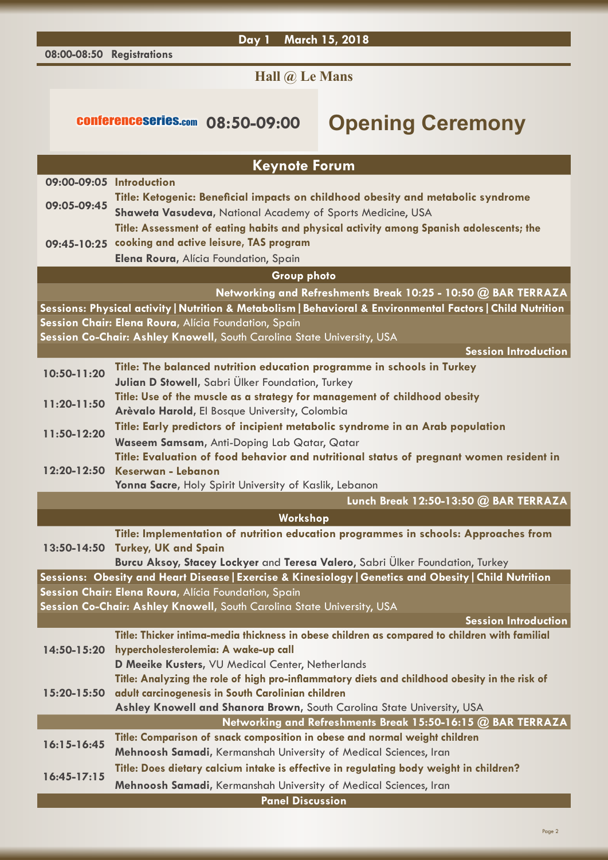**Day 1 March 15, 2018**

### **Hall @ Le Mans**

## conferenceseries.com **08:50-09:00 Opening Ceremony**

| <b>Keynote Forum</b>                                                   |                                                                                                             |  |
|------------------------------------------------------------------------|-------------------------------------------------------------------------------------------------------------|--|
| 09:00-09:05 Introduction                                               |                                                                                                             |  |
| 09:05-09:45                                                            | Title: Ketogenic: Beneficial impacts on childhood obesity and metabolic syndrome                            |  |
|                                                                        | Shaweta Vasudeva, National Academy of Sports Medicine, USA                                                  |  |
|                                                                        | Title: Assessment of eating habits and physical activity among Spanish adolescents; the                     |  |
|                                                                        | 09:45-10:25 cooking and active leisure, TAS program                                                         |  |
|                                                                        | Elena Roura, Alícia Foundation, Spain                                                                       |  |
|                                                                        | <b>Group photo</b>                                                                                          |  |
|                                                                        | Networking and Refreshments Break 10:25 - 10:50 @ BAR TERRAZA                                               |  |
|                                                                        | Sessions: Physical activity   Nutrition & Metabolism   Behavioral & Environmental Factors   Child Nutrition |  |
| Session Chair: Elena Roura, Alícia Foundation, Spain                   |                                                                                                             |  |
|                                                                        | Session Co-Chair: Ashley Knowell, South Carolina State University, USA                                      |  |
|                                                                        | <b>Session Introduction</b>                                                                                 |  |
|                                                                        | Title: The balanced nutrition education programme in schools in Turkey                                      |  |
| 10:50-11:20                                                            | Julian D Stowell, Sabri Ülker Foundation, Turkey                                                            |  |
|                                                                        | Title: Use of the muscle as a strategy for management of childhood obesity                                  |  |
| 11:20-11:50                                                            | Arèvalo Harold, El Bosque University, Colombia                                                              |  |
|                                                                        | Title: Early predictors of incipient metabolic syndrome in an Arab population                               |  |
| 11:50-12:20                                                            | Waseem Samsam, Anti-Doping Lab Qatar, Qatar                                                                 |  |
|                                                                        | Title: Evaluation of food behavior and nutritional status of pregnant women resident in                     |  |
| 12:20-12:50                                                            | Keserwan - Lebanon                                                                                          |  |
|                                                                        | Yonna Sacre, Holy Spirit University of Kaslik, Lebanon                                                      |  |
|                                                                        | Lunch Break 12:50-13:50 @ BAR TERRAZA                                                                       |  |
|                                                                        | Workshop                                                                                                    |  |
|                                                                        | Title: Implementation of nutrition education programmes in schools: Approaches from                         |  |
| 13:50-14:50                                                            | <b>Turkey, UK and Spain</b>                                                                                 |  |
|                                                                        | Burcu Aksoy, Stacey Lockyer and Teresa Valero, Sabri Ülker Foundation, Turkey                               |  |
|                                                                        | Sessions: Obesity and Heart Disease   Exercise & Kinesiology   Genetics and Obesity   Child Nutrition       |  |
|                                                                        | Session Chair: Elena Roura, Alícia Foundation, Spain                                                        |  |
| Session Co-Chair: Ashley Knowell, South Carolina State University, USA |                                                                                                             |  |
|                                                                        | <b>Session Introduction</b>                                                                                 |  |
|                                                                        | Title: Thicker intima-media thickness in obese children as compared to children with familial               |  |
| 14:50-15:20                                                            | hypercholesterolemia: A wake-up call                                                                        |  |
|                                                                        | D Meeike Kusters, VU Medical Center, Netherlands                                                            |  |
|                                                                        | Title: Analyzing the role of high pro-inflammatory diets and childhood obesity in the risk of               |  |
| $15:20 - 15:50$                                                        | adult carcinogenesis in South Carolinian children                                                           |  |
|                                                                        | Ashley Knowell and Shanora Brown, South Carolina State University, USA                                      |  |
|                                                                        | Networking and Refreshments Break 15:50-16:15 @ BAR TERRAZA                                                 |  |
| $16:15 - 16:45$                                                        | Title: Comparison of snack composition in obese and normal weight children                                  |  |
|                                                                        | Mehnoosh Samadi, Kermanshah University of Medical Sciences, Iran                                            |  |
| $16:45-17:15$                                                          | Title: Does dietary calcium intake is effective in regulating body weight in children?                      |  |
|                                                                        | Mehnoosh Samadi, Kermanshah University of Medical Sciences, Iran                                            |  |
|                                                                        | <b>Panel Discussion</b>                                                                                     |  |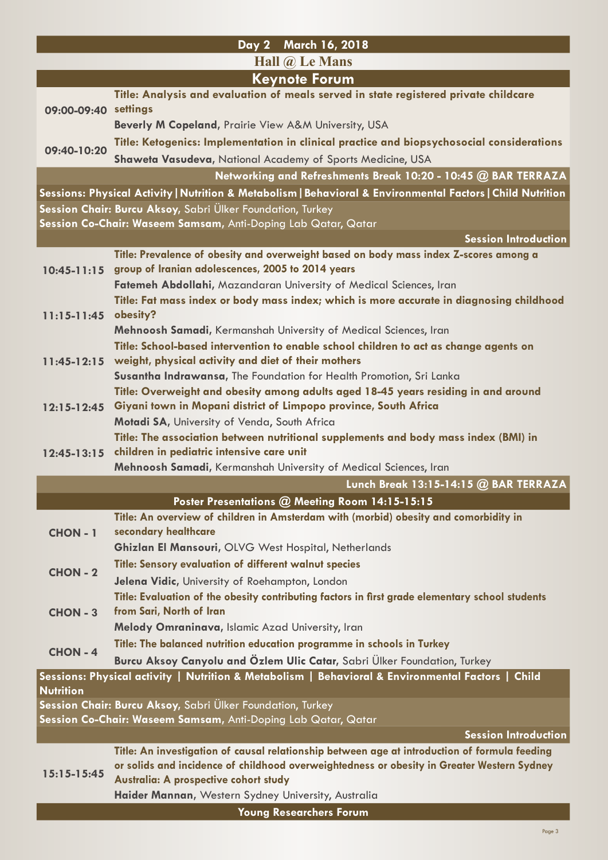|                                  | Day 2 March 16, 2018                                                                                                                       |  |
|----------------------------------|--------------------------------------------------------------------------------------------------------------------------------------------|--|
| Hall $\omega$ Le Mans            |                                                                                                                                            |  |
| <b>Keynote Forum</b>             |                                                                                                                                            |  |
| 09:00-09:40 settings             | Title: Analysis and evaluation of meals served in state registered private childcare                                                       |  |
|                                  |                                                                                                                                            |  |
|                                  | Beverly M Copeland, Prairie View A&M University, USA                                                                                       |  |
| 09:40-10:20                      | Title: Ketogenics: Implementation in clinical practice and biopsychosocial considerations                                                  |  |
|                                  | Shaweta Vasudeva, National Academy of Sports Medicine, USA                                                                                 |  |
|                                  | Networking and Refreshments Break 10:20 - 10:45 @ BAR TERRAZA                                                                              |  |
|                                  | Sessions: Physical Activity   Nutrition & Metabolism   Behavioral & Environmental Factors   Child Nutrition                                |  |
|                                  | Session Chair: Burcu Aksoy, Sabri Ülker Foundation, Turkey                                                                                 |  |
|                                  | Session Co-Chair: Waseem Samsam, Anti-Doping Lab Qatar, Qatar                                                                              |  |
|                                  | <b>Session Introduction</b>                                                                                                                |  |
| $10:45 - 11:15$<br>$11:15-11:45$ | Title: Prevalence of obesity and overweight based on body mass index Z-scores among a<br>group of Iranian adolescences, 2005 to 2014 years |  |
|                                  | Fatemeh Abdollahi, Mazandaran University of Medical Sciences, Iran                                                                         |  |
|                                  | Title: Fat mass index or body mass index; which is more accurate in diagnosing childhood                                                   |  |
|                                  | obesity?                                                                                                                                   |  |
|                                  | Mehnoosh Samadi, Kermanshah University of Medical Sciences, Iran                                                                           |  |
|                                  | Title: School-based intervention to enable school children to act as change agents on                                                      |  |
| $11:45-12:15$                    | weight, physical activity and diet of their mothers                                                                                        |  |
|                                  | Susantha Indrawansa, The Foundation for Health Promotion, Sri Lanka                                                                        |  |
|                                  | Title: Overweight and obesity among adults aged 18-45 years residing in and around                                                         |  |
| $12:15 - 12:45$                  | Giyani town in Mopani district of Limpopo province, South Africa                                                                           |  |
|                                  | Motadi SA, University of Venda, South Africa                                                                                               |  |
|                                  | Title: The association between nutritional supplements and body mass index (BMI) in                                                        |  |
| $12:45 - 13:15$                  | children in pediatric intensive care unit<br>Mehnoosh Samadi, Kermanshah University of Medical Sciences, Iran                              |  |
|                                  | Lunch Break 13:15-14:15 @ BAR TERRAZA                                                                                                      |  |
|                                  | Poster Presentations @ Meeting Room 14:15-15:15                                                                                            |  |
| <b>CHON-1</b>                    | Title: An overview of children in Amsterdam with (morbid) obesity and comorbidity in                                                       |  |
|                                  | secondary healthcare                                                                                                                       |  |
|                                  | Ghizlan El Mansouri, OLVG West Hospital, Netherlands                                                                                       |  |
|                                  | Title: Sensory evaluation of different walnut species                                                                                      |  |
| <b>CHON - 2</b>                  | Jelena Vidic, University of Roehampton, London                                                                                             |  |
|                                  | Title: Evaluation of the obesity contributing factors in first grade elementary school students                                            |  |
| <b>CHON - 3</b>                  | from Sari, North of Iran                                                                                                                   |  |
|                                  | Melody Omraninava, Islamic Azad University, Iran                                                                                           |  |
| <b>CHON - 4</b>                  | Title: The balanced nutrition education programme in schools in Turkey                                                                     |  |
|                                  | Burcu Aksoy Canyolu and Özlem Ulic Catar, Sabri Ülker Foundation, Turkey                                                                   |  |
|                                  | Sessions: Physical activity   Nutrition & Metabolism   Behavioral & Environmental Factors   Child                                          |  |
| <b>Nutrition</b>                 | Session Chair: Burcu Aksoy, Sabri Ülker Foundation, Turkey                                                                                 |  |
|                                  | Session Co-Chair: Waseem Samsam, Anti-Doping Lab Qatar, Qatar                                                                              |  |
|                                  | <b>Session Introduction</b>                                                                                                                |  |
|                                  | Title: An investigation of causal relationship between age at introduction of formula feeding                                              |  |
| $15:15-15:45$                    | or solids and incidence of childhood overweightedness or obesity in Greater Western Sydney                                                 |  |
|                                  | Australia: A prospective cohort study                                                                                                      |  |
|                                  | Haider Mannan, Western Sydney University, Australia                                                                                        |  |
|                                  | <b>Young Researchers Forum</b>                                                                                                             |  |